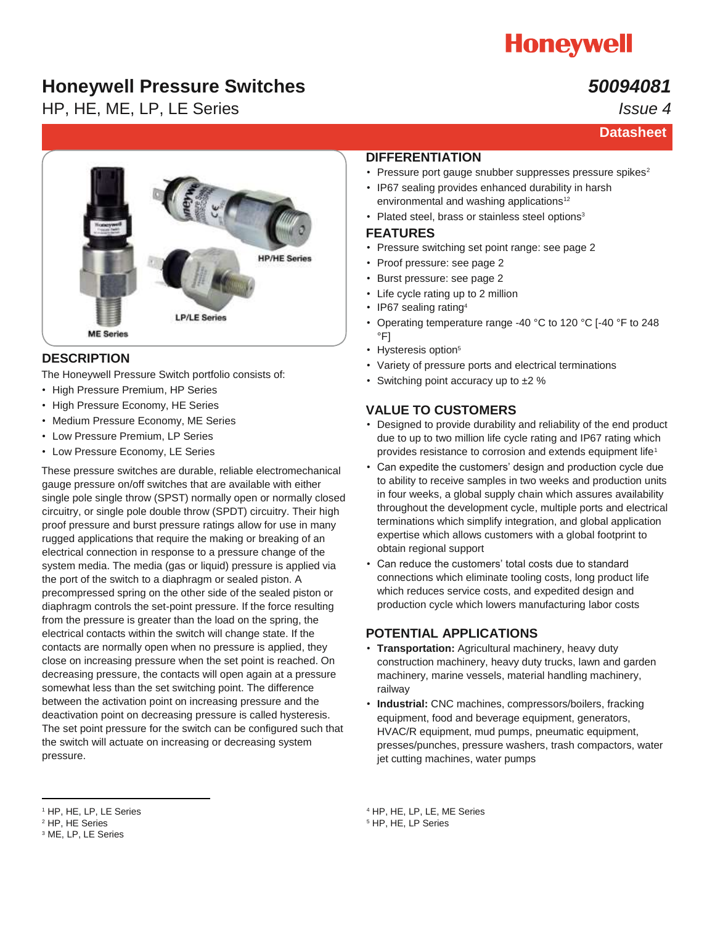

## **Honeywell Pressure Switches**

HP, HE, ME, LP, LE Series

## *50094081*

*Issue 4*



### **DESCRIPTION**

The Honeywell Pressure Switch portfolio consists of:

- High Pressure Premium, HP Series
- High Pressure Economy, HE Series
- Medium Pressure Economy, ME Series
- Low Pressure Premium, LP Series
- Low Pressure Economy, LE Series

These pressure switches are durable, reliable electromechanical gauge pressure on/off switches that are available with either single pole single throw (SPST) normally open or normally closed circuitry, or single pole double throw (SPDT) circuitry. Their high proof pressure and burst pressure ratings allow for use in many rugged applications that require the making or breaking of an electrical connection in response to a pressure change of the system media. The media (gas or liquid) pressure is applied via the port of the switch to a diaphragm or sealed piston. A precompressed spring on the other side of the sealed piston or diaphragm controls the set-point pressure. If the force resulting from the pressure is greater than the load on the spring, the electrical contacts within the switch will change state. If the contacts are normally open when no pressure is applied, they close on increasing pressure when the set point is reached. On decreasing pressure, the contacts will open again at a pressure somewhat less than the set switching point. The difference between the activation point on increasing pressure and the deactivation point on decreasing pressure is called hysteresis. The set point pressure for the switch can be configured such that the switch will actuate on increasing or decreasing system pressure.

#### **DIFFERENTIATION**

- Pressure port gauge snubber suppresses pressure spikes<sup>2</sup>
- IP67 sealing provides enhanced durability in harsh environmental and washing applications<sup>12</sup>
- Plated steel, brass or stainless steel options<sup>3</sup>

#### **FEATURES**

- Pressure switching set point range: see page 2
- Proof pressure: see page 2
- Burst pressure: see page 2
- Life cycle rating up to 2 million
- IP67 sealing rating<sup>4</sup>
- Operating temperature range -40 °C to 120 °C [-40 °F to 248 °F]
- Hysteresis option<sup>5</sup>
- Variety of pressure ports and electrical terminations
- Switching point accuracy up to  $±2$  %

### **VALUE TO CUSTOMERS**

- Designed to provide durability and reliability of the end product due to up to two million life cycle rating and IP67 rating which provides resistance to corrosion and extends equipment life<sup>1</sup>
- Can expedite the customers' design and production cycle due to ability to receive samples in two weeks and production units in four weeks, a global supply chain which assures availability throughout the development cycle, multiple ports and electrical terminations which simplify integration, and global application expertise which allows customers with a global footprint to obtain regional support
- Can reduce the customers' total costs due to standard connections which eliminate tooling costs, long product life which reduces service costs, and expedited design and production cycle which lowers manufacturing labor costs

### **POTENTIAL APPLICATIONS**

- **Transportation:** Agricultural machinery, heavy duty construction machinery, heavy duty trucks, lawn and garden machinery, marine vessels, material handling machinery, railway
- **Industrial:** CNC machines, compressors/boilers, fracking equipment, food and beverage equipment, generators, HVAC/R equipment, mud pumps, pneumatic equipment, presses/punches, pressure washers, trash compactors, water jet cutting machines, water pumps

<sup>4</sup> HP, HE, LP, LE, ME Series

<sup>5</sup> HP, HE, LP Series

 $\overline{a}$ <sup>1</sup> HP, HE, LP, LE Series

<sup>2</sup> HP, HE Series

<sup>3</sup> ME, LP, LE Series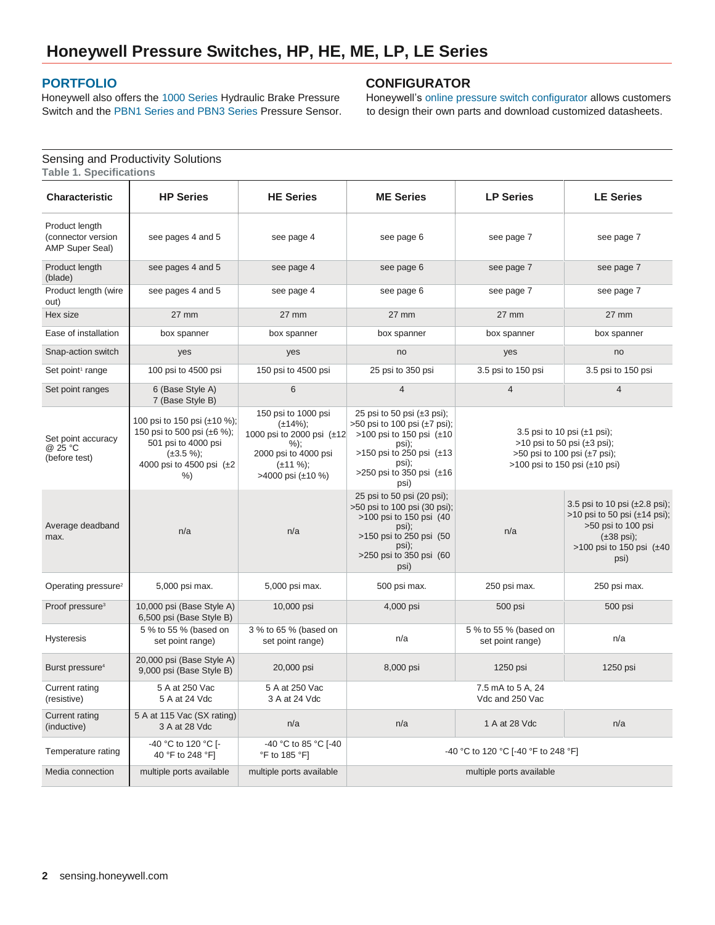### **[PORTFOLIO](http://sensing.honeywell.com/index.php?ci_id=54991&la_id=1)**

Sensing and Productivity Solutions

Honeywell also offers th[e 1000 Series](http://sensing.honeywell.com/index.php?ci_id=47669) Hydraulic Brake Pressure Switch and th[e PBN1 Series and PBN3 Series](http://sensing.honeywell.com/index.php?ci_id=47671) Pressure Sensor.

### **CONFIGURATOR**

Honeywell's [online pressure switch configurator a](http://sensing.honeywell.com/pressure-switch-configurator4)llows customers to design their own parts and download customized datasheets.

| <b>Table 1. Specifications</b>                                 |                                                                                                                                            |                                                                                                                                                    |                                                                                                                                                                                             |                                           |                                                                                                                                                                                 |
|----------------------------------------------------------------|--------------------------------------------------------------------------------------------------------------------------------------------|----------------------------------------------------------------------------------------------------------------------------------------------------|---------------------------------------------------------------------------------------------------------------------------------------------------------------------------------------------|-------------------------------------------|---------------------------------------------------------------------------------------------------------------------------------------------------------------------------------|
| <b>Characteristic</b>                                          | <b>HP Series</b>                                                                                                                           | <b>HE Series</b>                                                                                                                                   | <b>ME Series</b>                                                                                                                                                                            | <b>LP Series</b>                          | <b>LE Series</b>                                                                                                                                                                |
| Product length<br>(connector version<br><b>AMP Super Seal)</b> | see pages 4 and 5                                                                                                                          | see page 4                                                                                                                                         | see page 6                                                                                                                                                                                  | see page 7                                | see page 7                                                                                                                                                                      |
| Product length<br>(blade)                                      | see pages 4 and 5                                                                                                                          | see page 4                                                                                                                                         | see page 6                                                                                                                                                                                  | see page 7                                | see page 7                                                                                                                                                                      |
| Product length (wire<br>out)                                   | see pages 4 and 5                                                                                                                          | see page 4                                                                                                                                         | see page 6                                                                                                                                                                                  | see page 7                                | see page 7                                                                                                                                                                      |
| Hex size                                                       | $27 \text{ mm}$                                                                                                                            | $27 \text{ mm}$                                                                                                                                    | $27 \text{ mm}$                                                                                                                                                                             | 27 mm                                     | $27 \text{ mm}$                                                                                                                                                                 |
| Ease of installation                                           | box spanner                                                                                                                                | box spanner                                                                                                                                        | box spanner                                                                                                                                                                                 | box spanner                               | box spanner                                                                                                                                                                     |
| Snap-action switch                                             | yes                                                                                                                                        | yes                                                                                                                                                | no                                                                                                                                                                                          | yes                                       | no                                                                                                                                                                              |
| Set point <sup>1</sup> range                                   | 100 psi to 4500 psi                                                                                                                        | 150 psi to 4500 psi                                                                                                                                | 25 psi to 350 psi                                                                                                                                                                           | 3.5 psi to 150 psi                        | 3.5 psi to 150 psi                                                                                                                                                              |
| Set point ranges                                               | 6 (Base Style A)<br>7 (Base Style B)                                                                                                       | 6                                                                                                                                                  | $\overline{4}$                                                                                                                                                                              | $\overline{4}$                            | $\overline{4}$                                                                                                                                                                  |
| Set point accuracy<br>@ 25 °C<br>(before test)                 | 100 psi to 150 psi (±10 %);<br>150 psi to 500 psi (±6 %);<br>501 psi to 4000 psi<br>$(\pm 3.5\%);$<br>4000 psi to 4500 psi $(\pm 2)$<br>%) | 150 psi to 1000 psi<br>$(\pm 14\%)$ ;<br>1000 psi to 2000 psi $(\pm 12)$<br>$%$ );<br>2000 psi to 4000 psi<br>$(\pm 11 \%)$ ;<br>>4000 psi (±10 %) | 25 psi to 50 psi $(\pm 3$ psi);<br>$>50$ psi to 100 psi ( $\pm$ 7 psi);<br>>100 psi to 150 psi (±10<br>psi);<br>>150 psi to 250 psi $(\pm 13)$<br>psi);<br>>250 psi to 350 psi (±16<br>psi) |                                           | 3.5 psi to 10 psi $(\pm 1 \text{ psi})$ ;<br>$>10$ psi to 50 psi ( $\pm 3$ psi);<br>$>50$ psi to 100 psi ( $\pm$ 7 psi);<br>>100 psi to 150 psi (±10 psi)                       |
| Average deadband<br>max.                                       | n/a                                                                                                                                        | n/a                                                                                                                                                | 25 psi to 50 psi (20 psi);<br>>50 psi to 100 psi (30 psi);<br>>100 psi to 150 psi (40<br>psi);<br>>150 psi to 250 psi (50)<br>psi);<br>>250 psi to 350 psi (60<br>psi)                      | n/a                                       | 3.5 psi to 10 psi $(\pm 2.8 \text{ psi})$ ;<br>$>10$ psi to 50 psi ( $\pm$ 14 psi);<br>>50 psi to 100 psi<br>$(\pm 38 \text{ psi})$ ;<br>>100 psi to 150 psi $(\pm 40)$<br>psi) |
| Operating pressure <sup>2</sup>                                | 5,000 psi max.                                                                                                                             | 5,000 psi max.                                                                                                                                     | 500 psi max.                                                                                                                                                                                | 250 psi max.                              | 250 psi max.                                                                                                                                                                    |
| Proof pressure <sup>3</sup>                                    | 10,000 psi (Base Style A)<br>6,500 psi (Base Style B)                                                                                      | 10,000 psi                                                                                                                                         | 4,000 psi                                                                                                                                                                                   | 500 psi                                   | 500 psi                                                                                                                                                                         |
| <b>Hysteresis</b>                                              | 5 % to 55 % (based on<br>set point range)                                                                                                  | 3 % to 65 % (based on<br>set point range)                                                                                                          | n/a                                                                                                                                                                                         | 5 % to 55 % (based on<br>set point range) | n/a                                                                                                                                                                             |
| Burst pressure <sup>4</sup>                                    | 20,000 psi (Base Style A)<br>9,000 psi (Base Style B)                                                                                      | 20,000 psi                                                                                                                                         | 8,000 psi                                                                                                                                                                                   | 1250 psi                                  | 1250 psi                                                                                                                                                                        |
| Current rating<br>(resistive)                                  | 5 A at 250 Vac<br>5 A at 24 Vdc                                                                                                            | 5 A at 250 Vac<br>3 A at 24 Vdc                                                                                                                    |                                                                                                                                                                                             | 7.5 mA to 5 A, 24<br>Vdc and 250 Vac      |                                                                                                                                                                                 |
| <b>Current rating</b><br>(inductive)                           | 5 A at 115 Vac (SX rating)<br>3 A at 28 Vdc                                                                                                | n/a                                                                                                                                                | n/a                                                                                                                                                                                         | 1 A at 28 Vdc                             | n/a                                                                                                                                                                             |
| Temperature rating                                             | -40 °C to 120 °C [-<br>40 °F to 248 °F]                                                                                                    | -40 °C to 85 °C [-40<br>$\degree$ F to 185 $\degree$ F]                                                                                            |                                                                                                                                                                                             | -40 °C to 120 °C [-40 °F to 248 °F]       |                                                                                                                                                                                 |
| Media connection                                               | multiple ports available                                                                                                                   | multiple ports available                                                                                                                           |                                                                                                                                                                                             | multiple ports available                  |                                                                                                                                                                                 |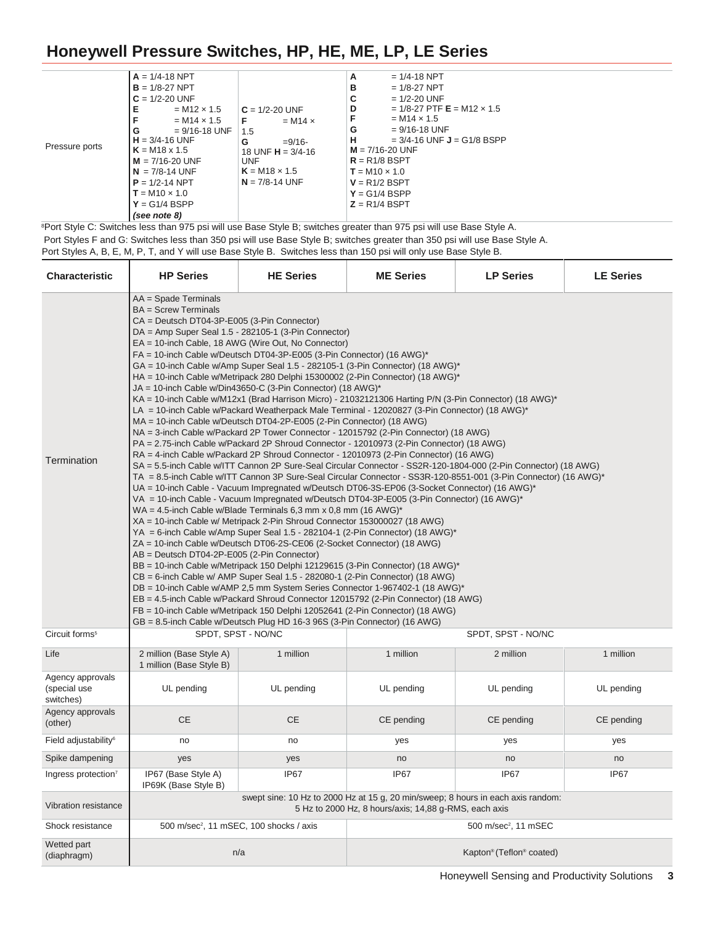|                | $A = 1/4 - 18$ NPT      |                       | $= 1/4 - 18$ NPT<br>А                             |
|----------------|-------------------------|-----------------------|---------------------------------------------------|
|                | $B = 1/8 - 27$ NPT      |                       | в<br>$= 1/8 - 27$ NPT                             |
|                | $C = 1/2 - 20$ UNF      |                       | $= 1/2 - 20$ UNF<br>C                             |
|                | $= M12 \times 1.5$<br>Е | $C = 1/2 - 20$ UNF    | D<br>$= 1/8 - 27$ PTF <b>E</b> = M12 $\times$ 1.5 |
|                | $= M14 \times 1.5$      | $= M14 \times$<br>F   | F<br>$= M14 \times 1.5$                           |
|                | $= 9/16 - 18$ UNF<br>G  | 1.5                   | $= 9/16 - 18$ UNF<br>G                            |
|                | $H = 3/4 - 16$ UNF      | G<br>$= 9/16$         | н<br>$= 3/4 - 16$ UNF <b>J</b> = G1/8 BSPP        |
| Pressure ports | $K = M18 \times 1.5$    | 18 UNF $H = 3/4 - 16$ | $M = 7/16 - 20$ UNF                               |
|                | $M = 7/16 - 20$ UNF     | UNF                   | $R = R1/8$ BSPT                                   |
|                | $N = 7/8 - 14$ UNF      | $K = M18 \times 1.5$  | $T = M10 \times 1.0$                              |
|                | $P = 1/2 - 14$ NPT      | $N = 7/8 - 14$ UNF    | $V = R1/2$ BSPT                                   |
|                | $T = M10 \times 1.0$    |                       | $Y = G1/4$ BSPP                                   |
|                | $Y = G1/4$ BSPP         |                       | $Z = R1/4$ BSPT                                   |
|                | (see note 8)            |                       |                                                   |

<sup>8</sup>Port Style C: Switches less than 975 psi will use Base Style B; switches greater than 975 psi will use Base Style A.

Port Styles F and G: Switches less than 350 psi will use Base Style B; switches greater than 350 psi will use Base Style A.

Port Styles A, B, E, M, P, T, and Y will use Base Style B. Switches less than 150 psi will only use Base Style B.

| <b>Characteristic</b>                         | <b>HP Series</b>                                                                                                                             | <b>HE Series</b>                                                                                                                                                                                                                                                                                                                                                                                                                                                                                                                                                                                                                    | <b>ME Series</b>                                                                                                                                                                                                                                                                                                                                                                                                                                                                                                                                                                                                                                                                                                                                                                                                                                                                                                                                                                                                                                                                                                                                                                                                                                                                                                                                                                                                                                                                                                                                                                                          | <b>LP Series</b>                     | <b>LE Series</b> |
|-----------------------------------------------|----------------------------------------------------------------------------------------------------------------------------------------------|-------------------------------------------------------------------------------------------------------------------------------------------------------------------------------------------------------------------------------------------------------------------------------------------------------------------------------------------------------------------------------------------------------------------------------------------------------------------------------------------------------------------------------------------------------------------------------------------------------------------------------------|-----------------------------------------------------------------------------------------------------------------------------------------------------------------------------------------------------------------------------------------------------------------------------------------------------------------------------------------------------------------------------------------------------------------------------------------------------------------------------------------------------------------------------------------------------------------------------------------------------------------------------------------------------------------------------------------------------------------------------------------------------------------------------------------------------------------------------------------------------------------------------------------------------------------------------------------------------------------------------------------------------------------------------------------------------------------------------------------------------------------------------------------------------------------------------------------------------------------------------------------------------------------------------------------------------------------------------------------------------------------------------------------------------------------------------------------------------------------------------------------------------------------------------------------------------------------------------------------------------------|--------------------------------------|------------------|
| Termination                                   | AA = Spade Terminals<br>$BA =$ Screw Terminals<br>CA = Deutsch DT04-3P-E005 (3-Pin Connector)<br>AB = Deutsch DT04-2P-E005 (2-Pin Connector) | DA = Amp Super Seal 1.5 - 282105-1 (3-Pin Connector)<br>EA = 10-inch Cable, 18 AWG (Wire Out, No Connector)<br>FA = 10-inch Cable w/Deutsch DT04-3P-E005 (3-Pin Connector) (16 AWG)*<br>JA = 10-inch Cable w/Din43650-C (3-Pin Connector) (18 AWG)*<br>MA = 10-inch Cable w/Deutsch DT04-2P-E005 (2-Pin Connector) (18 AWG)<br>WA = 4.5-inch Cable w/Blade Terminals 6,3 mm x 0,8 mm (16 AWG)*<br>XA = 10-inch Cable w/ Metripack 2-Pin Shroud Connector 153000027 (18 AWG)<br>ZA = 10-inch Cable w/Deutsch DT06-2S-CE06 (2-Socket Connector) (18 AWG)<br>GB = 8.5-inch Cable w/Deutsch Plug HD 16-3 96S (3-Pin Connector) (16 AWG) | GA = 10-inch Cable w/Amp Super Seal 1.5 - 282105-1 (3-Pin Connector) (18 AWG)*<br>HA = 10-inch Cable w/Metripack 280 Delphi 15300002 (2-Pin Connector) (18 AWG)*<br>KA = 10-inch Cable w/M12x1 (Brad Harrison Micro) - 21032121306 Harting P/N (3-Pin Connector) (18 AWG)*<br>LA = 10-inch Cable w/Packard Weatherpack Male Terminal - 12020827 (3-Pin Connector) (18 AWG)*<br>NA = 3-inch Cable w/Packard 2P Tower Connector - 12015792 (2-Pin Connector) (18 AWG)<br>PA = 2.75-inch Cable w/Packard 2P Shroud Connector - 12010973 (2-Pin Connector) (18 AWG)<br>RA = 4-inch Cable w/Packard 2P Shroud Connector - 12010973 (2-Pin Connector) (16 AWG)<br>SA = 5.5-inch Cable w/ITT Cannon 2P Sure-Seal Circular Connector - SS2R-120-1804-000 (2-Pin Connector) (18 AWG)<br>TA = 8.5-inch Cable w/ITT Cannon 3P Sure-Seal Circular Connector - SS3R-120-8551-001 (3-Pin Connector) (16 AWG)*<br>UA = 10-inch Cable - Vacuum Impregnated w/Deutsch DT06-3S-EP06 (3-Socket Connector) (16 AWG)*<br>VA = 10-inch Cable - Vacuum Impregnated w/Deutsch DT04-3P-E005 (3-Pin Connector) (16 AWG)*<br>YA = 6-inch Cable w/Amp Super Seal 1.5 - 282104-1 (2-Pin Connector) (18 AWG)*<br>BB = 10-inch Cable w/Metripack 150 Delphi 12129615 (3-Pin Connector) (18 AWG)*<br>CB = 6-inch Cable w/ AMP Super Seal 1.5 - 282080-1 (2-Pin Connector) (18 AWG)<br>DB = 10-inch Cable w/AMP 2,5 mm System Series Connector 1-967402-1 (18 AWG)*<br>EB = 4.5-inch Cable w/Packard Shroud Connector 12015792 (2-Pin Connector) (18 AWG)<br>FB = 10-inch Cable w/Metripack 150 Delphi 12052641 (2-Pin Connector) (18 AWG) |                                      |                  |
| Circuit forms <sup>5</sup>                    |                                                                                                                                              | SPDT, SPST - NO/NC                                                                                                                                                                                                                                                                                                                                                                                                                                                                                                                                                                                                                  |                                                                                                                                                                                                                                                                                                                                                                                                                                                                                                                                                                                                                                                                                                                                                                                                                                                                                                                                                                                                                                                                                                                                                                                                                                                                                                                                                                                                                                                                                                                                                                                                           | SPDT, SPST - NO/NC                   |                  |
| Life                                          | 2 million (Base Style A)<br>1 million (Base Style B)                                                                                         | 1 million                                                                                                                                                                                                                                                                                                                                                                                                                                                                                                                                                                                                                           | 1 million                                                                                                                                                                                                                                                                                                                                                                                                                                                                                                                                                                                                                                                                                                                                                                                                                                                                                                                                                                                                                                                                                                                                                                                                                                                                                                                                                                                                                                                                                                                                                                                                 | 2 million                            | 1 million        |
| Agency approvals<br>(special use<br>switches) | UL pending                                                                                                                                   | UL pending                                                                                                                                                                                                                                                                                                                                                                                                                                                                                                                                                                                                                          | UL pending                                                                                                                                                                                                                                                                                                                                                                                                                                                                                                                                                                                                                                                                                                                                                                                                                                                                                                                                                                                                                                                                                                                                                                                                                                                                                                                                                                                                                                                                                                                                                                                                | UL pending                           | UL pending       |
| Agency approvals<br>(other)                   | <b>CE</b>                                                                                                                                    | <b>CE</b>                                                                                                                                                                                                                                                                                                                                                                                                                                                                                                                                                                                                                           | CE pending                                                                                                                                                                                                                                                                                                                                                                                                                                                                                                                                                                                                                                                                                                                                                                                                                                                                                                                                                                                                                                                                                                                                                                                                                                                                                                                                                                                                                                                                                                                                                                                                | CE pending                           | CE pending       |
| Field adjustability <sup>6</sup>              | no                                                                                                                                           | no                                                                                                                                                                                                                                                                                                                                                                                                                                                                                                                                                                                                                                  | yes                                                                                                                                                                                                                                                                                                                                                                                                                                                                                                                                                                                                                                                                                                                                                                                                                                                                                                                                                                                                                                                                                                                                                                                                                                                                                                                                                                                                                                                                                                                                                                                                       | yes                                  | yes              |
| Spike dampening                               | yes                                                                                                                                          | yes                                                                                                                                                                                                                                                                                                                                                                                                                                                                                                                                                                                                                                 | no                                                                                                                                                                                                                                                                                                                                                                                                                                                                                                                                                                                                                                                                                                                                                                                                                                                                                                                                                                                                                                                                                                                                                                                                                                                                                                                                                                                                                                                                                                                                                                                                        | no                                   | no               |
| Ingress protection <sup>7</sup>               | IP67 (Base Style A)<br>IP69K (Base Style B)                                                                                                  | IP67                                                                                                                                                                                                                                                                                                                                                                                                                                                                                                                                                                                                                                | IP67                                                                                                                                                                                                                                                                                                                                                                                                                                                                                                                                                                                                                                                                                                                                                                                                                                                                                                                                                                                                                                                                                                                                                                                                                                                                                                                                                                                                                                                                                                                                                                                                      | IP67                                 | IP67             |
| <b>Vibration resistance</b>                   |                                                                                                                                              |                                                                                                                                                                                                                                                                                                                                                                                                                                                                                                                                                                                                                                     | swept sine: 10 Hz to 2000 Hz at 15 g, 20 min/sweep; 8 hours in each axis random:<br>5 Hz to 2000 Hz, 8 hours/axis; 14,88 g-RMS, each axis                                                                                                                                                                                                                                                                                                                                                                                                                                                                                                                                                                                                                                                                                                                                                                                                                                                                                                                                                                                                                                                                                                                                                                                                                                                                                                                                                                                                                                                                 |                                      |                  |
| Shock resistance                              |                                                                                                                                              | 500 m/sec <sup>2</sup> , 11 mSEC, 100 shocks / axis                                                                                                                                                                                                                                                                                                                                                                                                                                                                                                                                                                                 |                                                                                                                                                                                                                                                                                                                                                                                                                                                                                                                                                                                                                                                                                                                                                                                                                                                                                                                                                                                                                                                                                                                                                                                                                                                                                                                                                                                                                                                                                                                                                                                                           | 500 m/sec <sup>2</sup> , 11 mSEC     |                  |
| Wetted part<br>(diaphragm)                    |                                                                                                                                              | n/a                                                                                                                                                                                                                                                                                                                                                                                                                                                                                                                                                                                                                                 |                                                                                                                                                                                                                                                                                                                                                                                                                                                                                                                                                                                                                                                                                                                                                                                                                                                                                                                                                                                                                                                                                                                                                                                                                                                                                                                                                                                                                                                                                                                                                                                                           | Kapton <sup>®</sup> (Teflon® coated) |                  |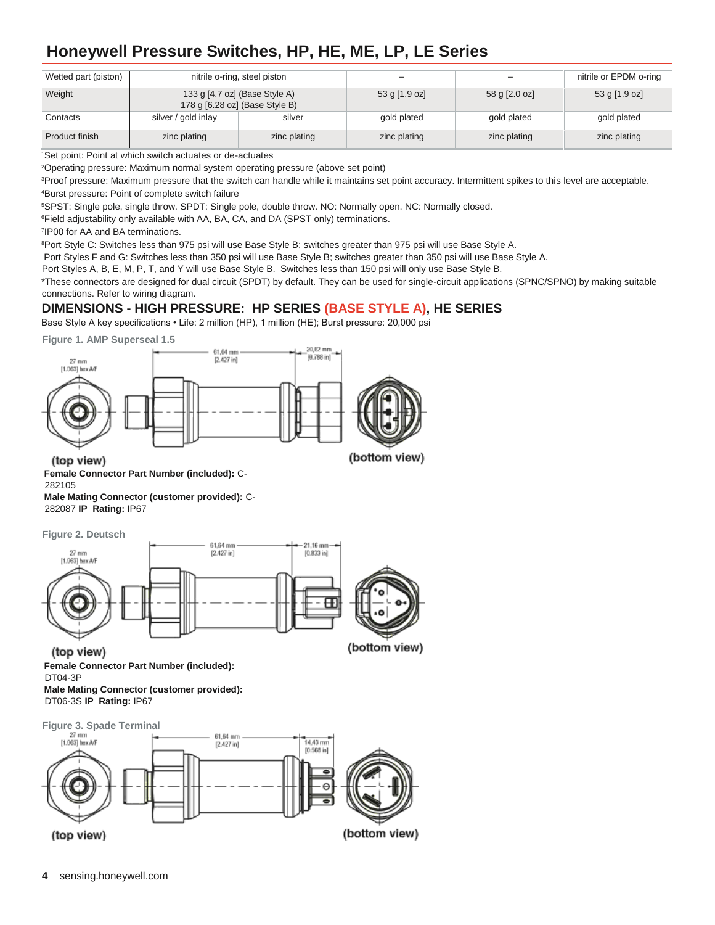| Wetted part (piston) |                     | nitrile o-ring, steel piston                                    | -               | -             | nitrile or EPDM o-ring |
|----------------------|---------------------|-----------------------------------------------------------------|-----------------|---------------|------------------------|
| Weight               |                     | 133 g [4.7 oz] (Base Style A)<br>178 g [6.28 oz] (Base Style B) | $53$ g [1.9 oz] | 58 g [2.0 oz] | 53 g [1.9 oz]          |
| Contacts             | silver / gold inlay | silver                                                          | gold plated     | gold plated   | gold plated            |
| Product finish       | zinc plating        | zinc plating                                                    | zinc plating    | zinc plating  | zinc plating           |

<sup>1</sup>Set point: Point at which switch actuates or de-actuates

<sup>2</sup>Operating pressure: Maximum normal system operating pressure (above set point)

<sup>3</sup>Proof pressure: Maximum pressure that the switch can handle while it maintains set point accuracy. Intermittent spikes to this level are acceptable. <sup>4</sup>Burst pressure: Point of complete switch failure

<sup>5</sup>SPST: Single pole, single throw. SPDT: Single pole, double throw. NO: Normally open. NC: Normally closed.

<sup>6</sup>Field adjustability only available with AA, BA, CA, and DA (SPST only) terminations.

7 IP00 for AA and BA terminations.

<sup>8</sup>Port Style C: Switches less than 975 psi will use Base Style B; switches greater than 975 psi will use Base Style A.

Port Styles F and G: Switches less than 350 psi will use Base Style B; switches greater than 350 psi will use Base Style A.

Port Styles A, B, E, M, P, T, and Y will use Base Style B. Switches less than 150 psi will only use Base Style B.

\*These connectors are designed for dual circuit (SPDT) by default. They can be used for single-circuit applications (SPNC/SPNO) by making suitable connections. Refer to wiring diagram.

### **DIMENSIONS - HIGH PRESSURE: HP SERIES (BASE STYLE A), HE SERIES**

Base Style A key specifications • Life: 2 million (HP), 1 million (HE); Burst pressure: 20,000 psi

**Figure 1. AMP Superseal 1.5** 



(top view)

**Female Connector Part Number (included):** C-282105

**Male Mating Connector (customer provided):** C-282087 **IP Rating:** IP67

**Figure 2. Deutsch**



(top view) **Female Connector Part Number (included):**  DT04-3P **Male Mating Connector (customer provided):** 

DT06-3S **IP Rating:** IP67

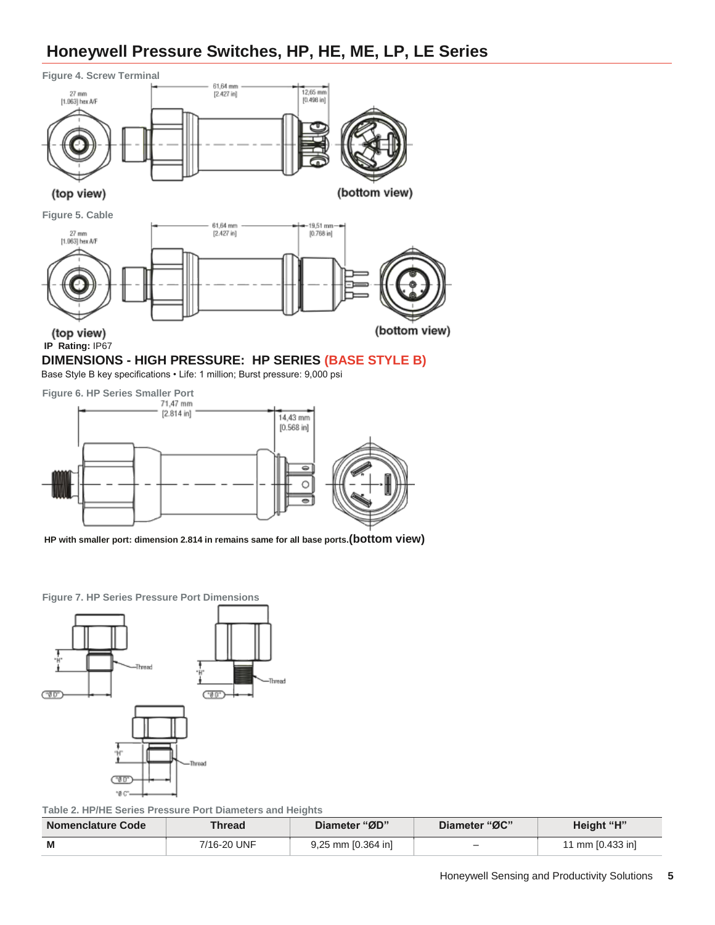

Base Style B key specifications • Life: 1 million; Burst pressure: 9,000 psi



**HP with smaller port: dimension 2.814 in remains same for all base ports.(bottom view)**

**Figure 7. HP Series Pressure Port Dimensions**



**Table 2. HP/HE Series Pressure Port Diameters and Heights**

| <b>Nomenclature Code</b> | Thread      | Diameter "ØD"      | Diameter "ØC"            | Height "H"       |
|--------------------------|-------------|--------------------|--------------------------|------------------|
| M                        | 7/16-20 UNF | 9,25 mm [0.364 in] | $\overline{\phantom{a}}$ | 11 mm [0.433 in] |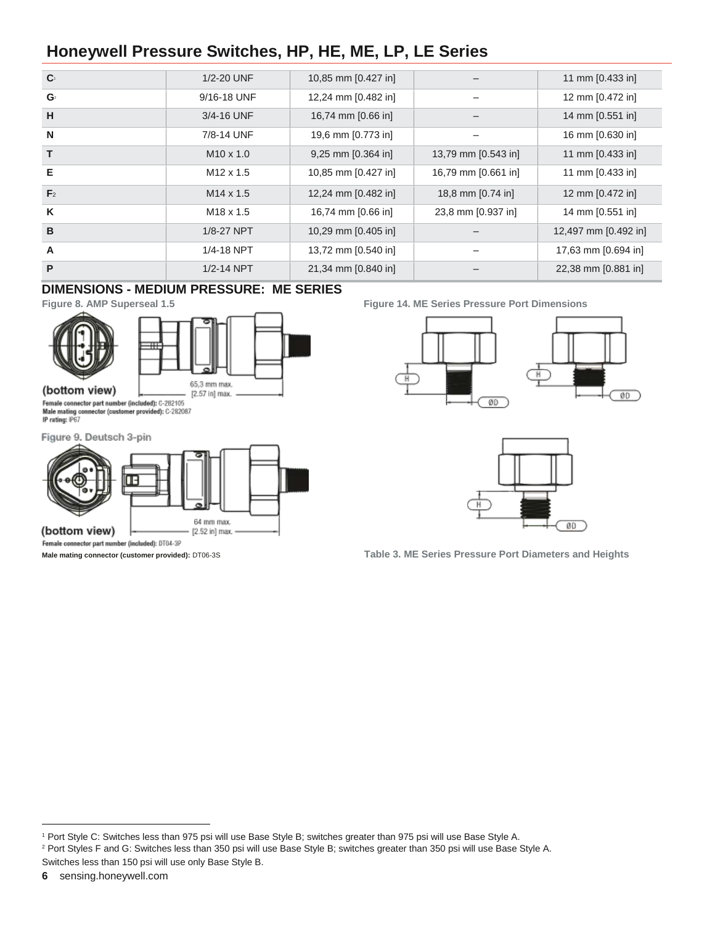| $\mathbf{C}^1$ | 1/2-20 UNF            | 10,85 mm [0.427 in]   |                     | 11 mm [0.433 in]     |
|----------------|-----------------------|-----------------------|---------------------|----------------------|
| $\mathbf{G}^2$ | 9/16-18 UNF           | 12,24 mm [0.482 in]   |                     | 12 mm [0.472 in]     |
| H              | 3/4-16 UNF            | 16,74 mm [0.66 in]    |                     | 14 mm [0.551 in]     |
| N              | 7/8-14 UNF            | 19,6 mm [0.773 in]    |                     | 16 mm [0.630 in]     |
| T.             | $M10 \times 1.0$      | $9,25$ mm $[0.364$ in | 13,79 mm [0.543 in] | 11 mm $[0.433$ in    |
| Е              | M <sub>12</sub> x 1.5 | 10,85 mm [0.427 in]   | 16,79 mm [0.661 in] | 11 mm [0.433 in]     |
| F <sub>2</sub> | $M14 \times 1.5$      | 12,24 mm [0.482 in]   | 18,8 mm [0.74 in]   | 12 mm [0.472 in]     |
| K              | M <sub>18</sub> x 1.5 | 16,74 mm [0.66 in]    | 23,8 mm [0.937 in]  | 14 mm [0.551 in]     |
| B              | 1/8-27 NPT            | 10,29 mm [0.405 in]   |                     | 12,497 mm [0.492 in] |
| A              | 1/4-18 NPT            | 13,72 mm [0.540 in]   |                     | 17,63 mm [0.694 in]  |
| P              | 1/2-14 NPT            | 21,34 mm [0.840 in]   |                     | 22,38 mm [0.881 in]  |

### **DIMENSIONS - MEDIUM PRESSURE: ME SERIES**





Female connector part number (included): C-282105 Male mating connector (customer provided): C-282087<br>IP rating: IP67

Figure 9. Deutsch 3-pin



Female connector part number (included): DT04-3P

**Figure 8. AMP Superseal 1.5 Figure 14. ME Series Pressure Port Dimensions**





**Male mating connector (customer provided):** DT06-3S **Table 3. ME Series Pressure Port Diameters and Heights**

**6** sensing.honeywell.com

l

<sup>1</sup> Port Style C: Switches less than 975 psi will use Base Style B; switches greater than 975 psi will use Base Style A. <sup>2</sup> Port Styles F and G: Switches less than 350 psi will use Base Style B; switches greater than 350 psi will use Base Style A.

Switches less than 150 psi will use only Base Style B.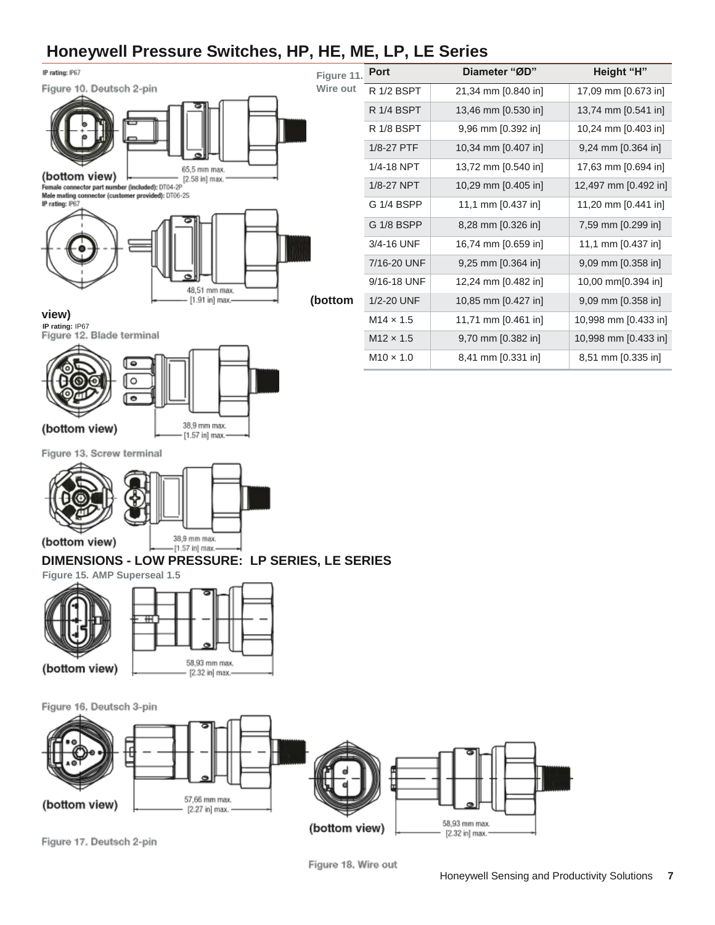

| t | R 1/2 BSPT       | 21,34 mm [0.840 in]   | 17,09 mm [0.673 in]    |
|---|------------------|-----------------------|------------------------|
|   | R 1/4 BSPT       | 13,46 mm [0.530 in]   | 13,74 mm [0.541 in]    |
|   | R 1/8 BSPT       | 9,96 mm [0.392 in]    | 10,24 mm [0.403 in]    |
|   | 1/8-27 PTF       | 10,34 mm [0.407 in]   | 9,24 mm [0.364 in]     |
|   | 1/4-18 NPT       | 13,72 mm [0.540 in]   | 17,63 mm [0.694 in]    |
|   | 1/8-27 NPT       | 10,29 mm [0.405 in]   | 12,497 mm [0.492 in]   |
|   | G 1/4 BSPP       | 11,1 mm [0.437 in]    | 11,20 mm [0.441 in]    |
|   | G 1/8 BSPP       | 8,28 mm [0.326 in]    | 7,59 mm [0.299 in]     |
|   | 3/4-16 UNF       | 16,74 mm [0.659 in]   | 11,1 mm [0.437 in]     |
|   | 7/16-20 UNF      | $9,25$ mm $[0.364$ in | $9,09$ mm $[0.358$ in] |
|   | 9/16-18 UNF      | 12,24 mm [0.482 in]   | 10,00 mm[0.394 in]     |
|   | 1/2-20 UNF       | 10,85 mm [0.427 in]   | $9,09$ mm $[0.358$ in] |
|   | $M14 \times 1.5$ | 11,71 mm [0.461 in]   | 10,998 mm [0.433 in]   |
|   | $M12 \times 1.5$ | 9,70 mm [0.382 in]    | 10,998 mm [0.433 in]   |
|   | $M10 \times 1.0$ | 8,41 mm [0.331 in]    | 8,51 mm [0.335 in]     |

**Port Diameter "ØD" Height "H"**





Figure 13. Screw terminal



#### **DIMENSIONS - LOW PRESSURE: LP SERIES, LE SERIES**

**Figure 15. AMP Superseal 1.5** 







Figure 17. Deutsch 2-pin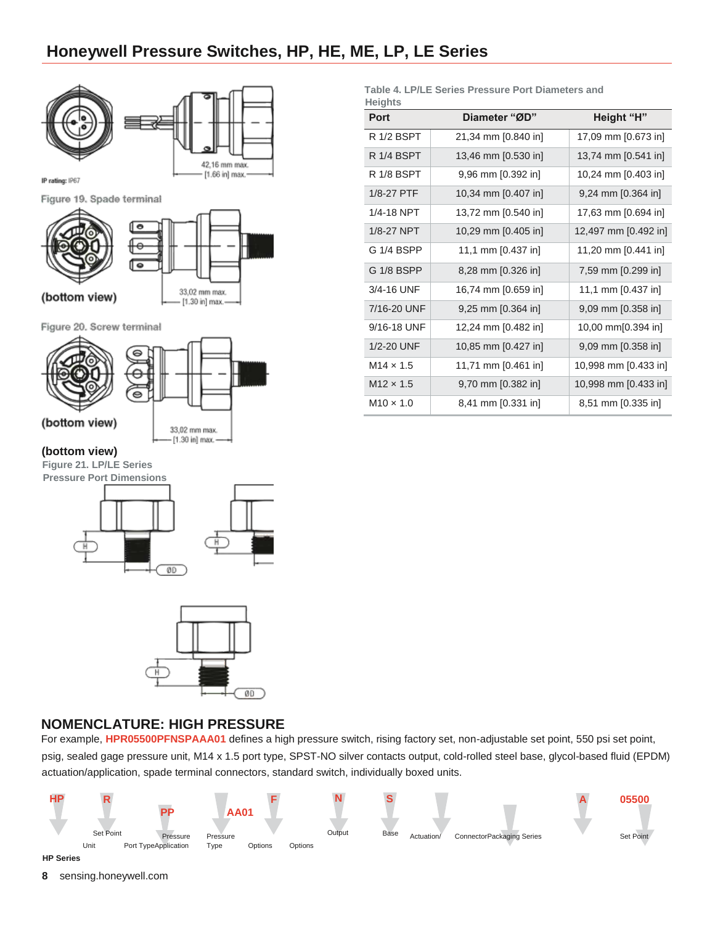

| <b>Heights</b><br>Port | Diameter "ØD"         | Height "H"            |
|------------------------|-----------------------|-----------------------|
| R 1/2 BSPT             | 21,34 mm [0.840 in]   | 17,09 mm [0.673 in]   |
| R 1/4 BSPT             | 13,46 mm [0.530 in]   | 13,74 mm [0.541 in]   |
| R 1/8 BSPT             | 9,96 mm [0.392 in]    | 10,24 mm [0.403 in]   |
| 1/8-27 PTF             | 10,34 mm [0.407 in]   | $9,24$ mm $[0.364$ in |
| 1/4-18 NPT             | 13,72 mm [0.540 in]   | 17,63 mm [0.694 in]   |
| 1/8-27 NPT             | 10,29 mm [0.405 in]   | 12,497 mm [0.492 in]  |
| G 1/4 BSPP             | 11,1 mm [0.437 in]    | 11,20 mm [0.441 in]   |
| G 1/8 BSPP             | 8,28 mm [0.326 in]    | 7,59 mm [0.299 in]    |
| 3/4-16 UNF             | 16,74 mm [0.659 in]   | 11,1 mm [0.437 in]    |
| 7/16-20 UNF            | $9,25$ mm $[0.364$ in | 9,09 mm [0.358 in]    |
| 9/16-18 UNF            | 12,24 mm [0.482 in]   | 10,00 mm[0.394 in]    |
| 1/2-20 UNF             | 10,85 mm [0.427 in]   | 9,09 mm [0.358 in]    |
| $M14 \times 1.5$       | 11,71 mm [0.461 in]   | 10,998 mm [0.433 in]  |
| $M12 \times 1.5$       | 9,70 mm [0.382 in]    | 10,998 mm [0.433 in]  |
| $M10 \times 1.0$       | 8,41 mm [0.331 in]    | 8,51 mm [0.335 in]    |

**Table 4. LP/LE Series Pressure Port Diameters and** 

### **NOMENCLATURE: HIGH PRESSURE**

 $00$ 

For example, **HPR05500PFNSPAAA01** defines a high pressure switch, rising factory set, non-adjustable set point, 550 psi set point, psig, sealed gage pressure unit, M14 x 1.5 port type, SPST-NO silver contacts output, cold-rolled steel base, glycol-based fluid (EPDM) actuation/application, spade terminal connectors, standard switch, individually boxed units.



**HP Series**

**8** sensing.honeywell.com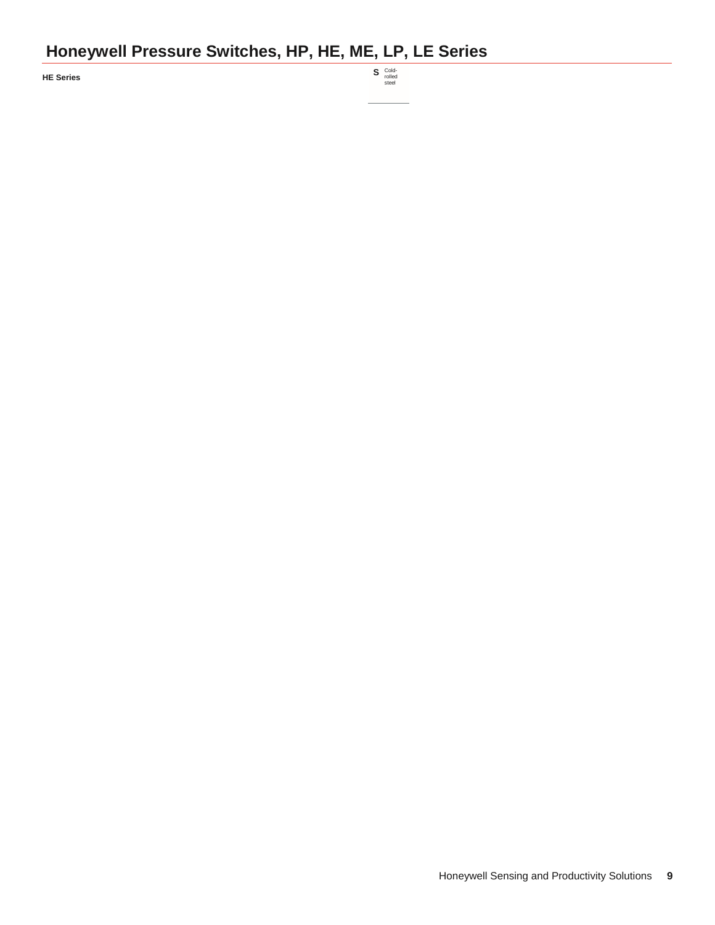**HE** Series

Cold-rolled steel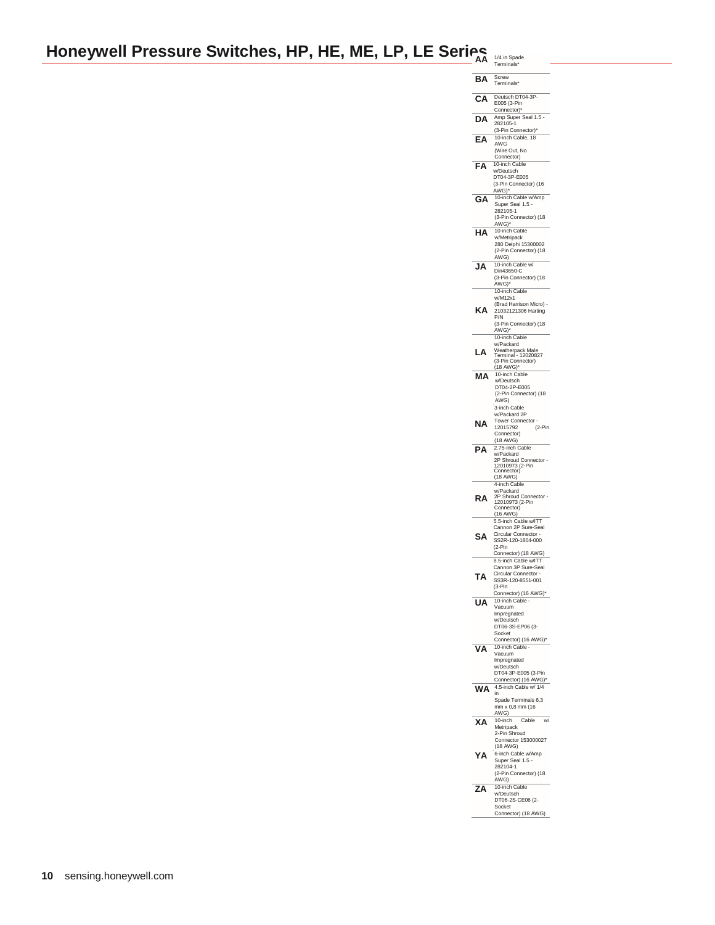# **Honeywell Pressure Switches, HP, HE, ME, LP, LE Series AA 1/4 in Spades'**

| ΒA | Screw<br>Terminals*                                               |
|----|-------------------------------------------------------------------|
| Α  | Deutsch DT04-3P-<br>E005 (3-Pin<br>Connector)*<br>O               |
| DΑ | Amp Super Seal 1.5<br>282105-1<br>(3-Pin Connector)*              |
|    | 10-inch Cable, 18<br><b>AWG</b><br>(Wire Out, No                  |
| Δ  | Connector)<br>10-inch Cable                                       |
|    | w/Deutsch<br>DT04-3P-E005<br>(3-Pin Connector) (16                |
| GΑ | AWG)*<br>10-inch Cable w/Amp<br>Super Seal 1.5                    |
|    | 282105-1<br>(3-Pin Connector) (18<br>AWG)*                        |
| А  | 10-inch Cable<br>w/Metripack                                      |
|    | 280 Delphi 15300002<br>(2-Pin Connector) (18<br>AWG)              |
| IΑ | 10-inch Cable w/<br>Din43650-C                                    |
|    | (3-Pin Connector) (18<br>AWG)*<br>10-inch Cable                   |
|    | w/M12x1<br>(Brad Harrison Micro)                                  |
| KΑ | 21032121306 Harting<br>P/N                                        |
|    | (3-Pin Connector) (18<br>AWG)*<br>10-inch Cable                   |
| А  | w/Packard<br>Weatherpack Male<br>Terminal - 12020827              |
|    | (3-Pin Connector)<br>(18 AWG)*                                    |
| Δ  | 10-inch Cable<br>w/Deutsch                                        |
|    | DT04-2P-E005<br>(2-Pin Connector) (18                             |
|    | AWG)<br>3-inch Cable                                              |
| ΝA | w/Packard 2P<br><b>Tower Connector</b>                            |
|    | 12015792<br>(2-Pin<br>Connector)<br>(18 AWG)                      |
| PΔ | 2.75-inch Cable<br>w/Packard                                      |
|    | 2P Shroud Connector<br>12010973 (2-Pin<br>Connector)              |
|    | (18 AWG)<br>4-inch Cable                                          |
| RΑ | w/Packard<br>2P Shroud Connector<br>12010973 (2-Pin               |
|    | Connector)<br>(16 AWG)                                            |
|    | 5.5-inch Cable w/ITT<br>Cannon 2P Sure-Seal<br>Circular Connector |
| SΑ | SS2R-120-1804-000<br>$(2-Pin$                                     |
|    | Connector) (18 AWG)<br>8.5-inch Cable w/ITT                       |
| ΤА | Cannon 3P Sure-Seal<br>Circular Connector                         |
|    | SS3R-120-8551-001<br>$(3-Pin)$<br>Connector) (16 AWG)*            |
| UA | 10-inch Cable -<br>Vacuum                                         |
|    | Impregnated<br>w/Deutsch                                          |
|    | DT06-3S-EP06 (3-<br>Socket<br>Connector) (16 AWG)*                |
| VA | 10-inch Cable<br>Vacuum                                           |
|    | Impregnated<br>w/Deutsch                                          |
|    | DT04-3P-E005 (3-Pin<br>Connector) (16 AWG)*                       |
| WА | 4.5-inch Cable w/ 1/4<br>in                                       |
|    | Spade Terminals 6,3<br>mm x 0,8 mm (16<br>AWG)                    |
| XΑ | Cable<br>10-inch<br>w/<br>Metripack                               |
|    | 2-Pin Shroud<br>Connector 153000027                               |
| YΑ | (18 AWG)<br>6-inch Cable w/Amp                                    |
|    | Super Seal 1.5<br>282104-1<br>(2-Pin Connector) (18               |
|    | AWG)                                                              |
|    |                                                                   |
| ZΑ | 10-inch Cable<br>w/Deutsch<br>DT06-2S-CE06 (2-<br>Socket          |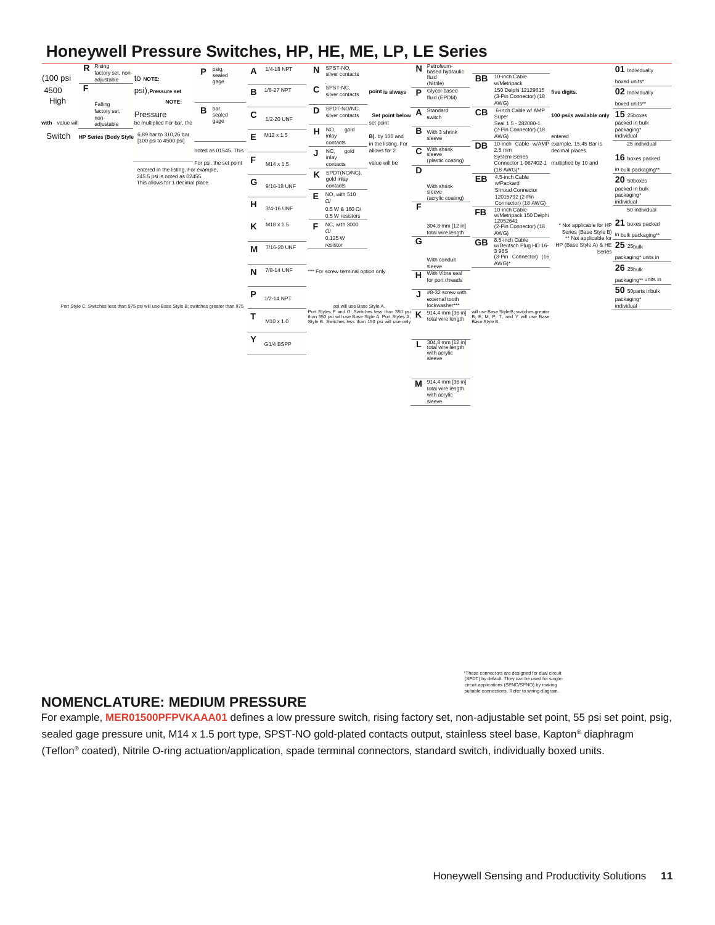

\*These connectors are designed for dual circuit (SPDT) by default. They can be used for single-circuit applications (SPNC/SPNO) by making ns. Refer to wiring diagra

### **NOMENCLATURE: MEDIUM PRESSURE**

For example, **MER01500PFPVKAAA01** defines a low pressure switch, rising factory set, non-adjustable set point, 55 psi set point, psig, sealed gage pressure unit, M14 x 1.5 port type, SPST-NO gold-plated contacts output, stainless steel base, Kapton® diaphragm (Teflon® coated), Nitrile O-ring actuation/application, spade terminal connectors, standard switch, individually boxed units.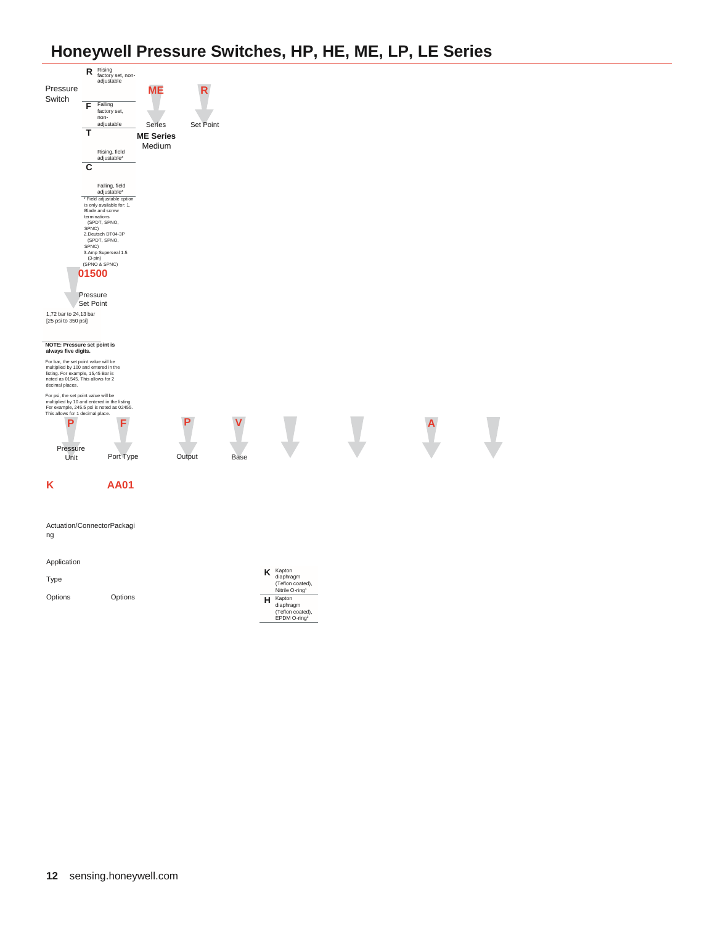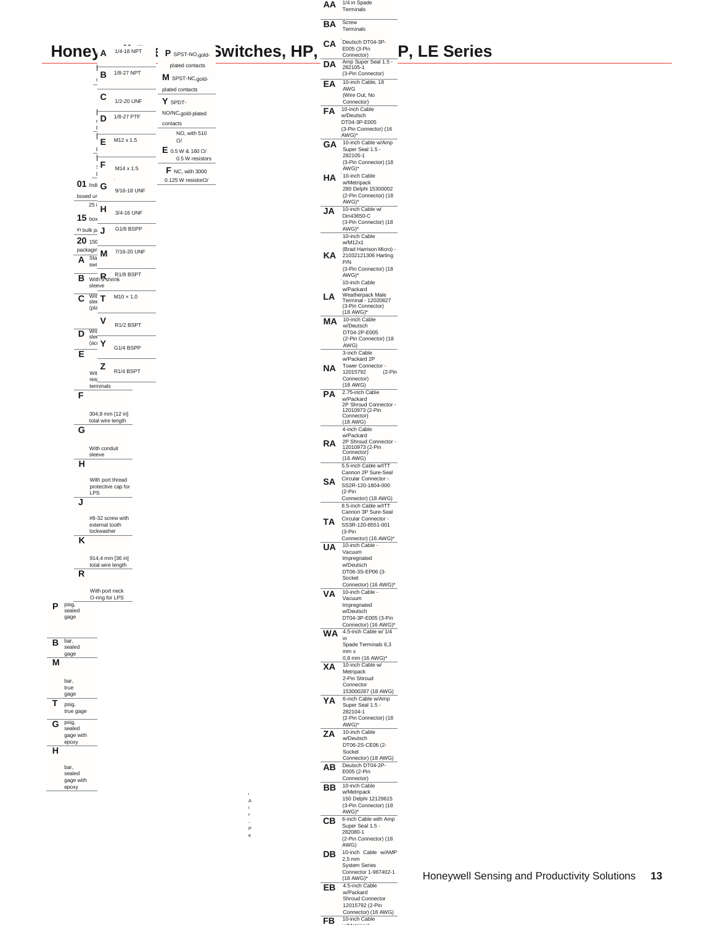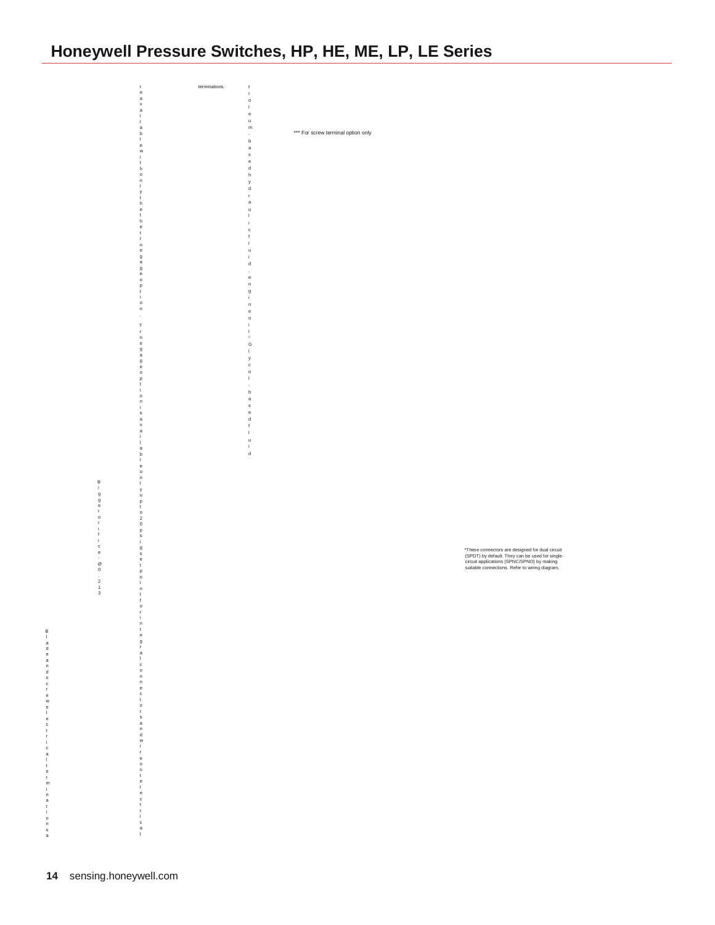t r o l e u m b a s e d h y d r a u l i c f l u i d , e n g i n e o i l G l y c o l b a s e d f l u i d Biggerorifice<br>-<br>Ø0 . 2 1 3 r e a v a i l a b l e w i t h o n l y t h e t h e t r u e g a g e o p t i o n T r u e g a g e o p t i o n i s a v a i l a b l e o n l y u p t o 2 0 p s i g s e t p o i n t f o r i n t e g r a l c o n n e c t o r s a n d w i r e o u t e l e c t r i c a l terminations. \*\*\* For screw terminal option only \*These connectors are designed for dual circuit (SPDT) by default. They can be used for single-circuit applications (SPNC/SPNO) by making suitable connections. Refer to wiring diagram.

B l a d e a n d s c r e w e l e c t r i c a l t e r m i n a t i

o n s a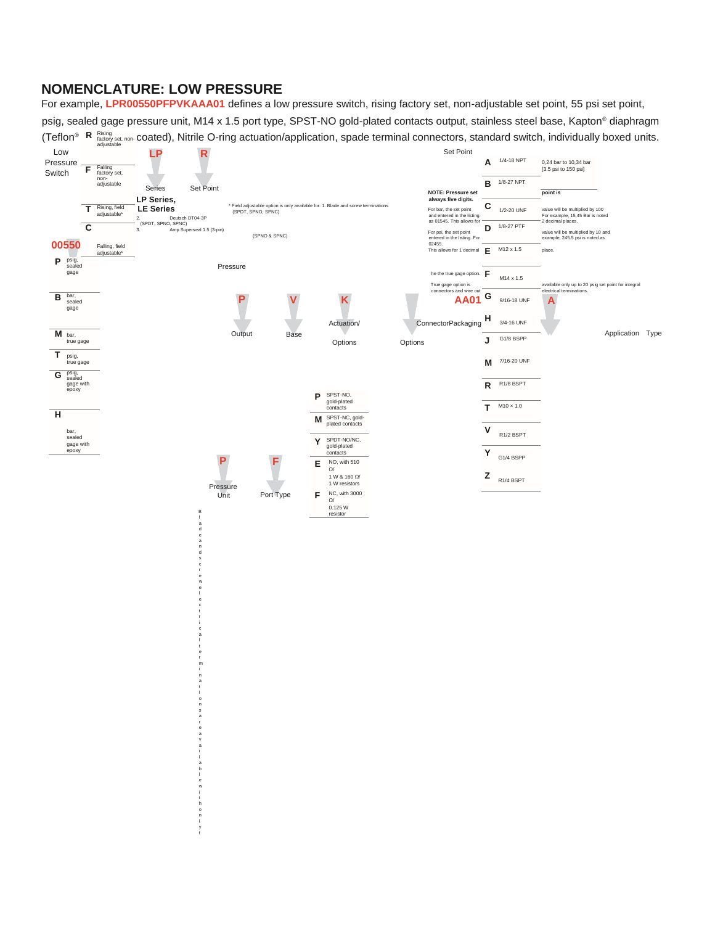### **NOMENCLATURE: LOW PRESSURE**

a i l a b l e w i t h o n l y t

For example, **LPR00550PFPVKAAA01** defines a low pressure switch, rising factory set, non-adjustable set point, 55 psi set point, psig, sealed gage pressure unit, M14 x 1.5 port type, SPST-NO gold-plated contacts output, stainless steel base, Kapton® diaphragm (Teflon<sup>®</sup>R Rising and, non-Coated), Nitrile O-ring actuation/application, spade terminal connectors, standard switch, individually boxed units.

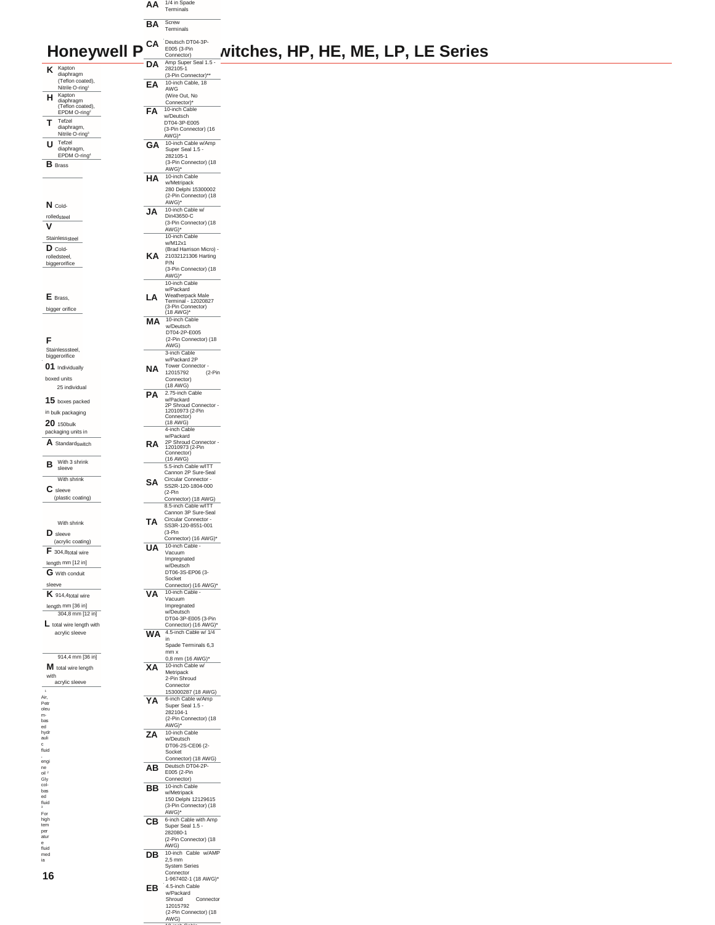|   |                                                 |   | AA | 1/4 in Spade<br>Terminals            |
|---|-------------------------------------------------|---|----|--------------------------------------|
|   |                                                 |   | BA | Screw<br>Terminals                   |
|   |                                                 |   |    |                                      |
|   |                                                 |   | CА | Deutsch DT04-3P-                     |
|   | Honeywell                                       | p |    | E005 (3-Pin                          |
|   |                                                 |   |    | Connector)                           |
| Κ | Kapton                                          |   | DΑ | Amp Super Seal 1.<br>282105-1        |
|   | diaphragm                                       |   |    | (3-Pin Connector)*'                  |
|   | (Teflon coated),<br>Nitrile O-ring <sup>1</sup> |   | EΑ | 10-inch Cable, 18<br>$\triangle M/C$ |

|    | LUUJ (J"FIII          | NITCNES, |
|----|-----------------------|----------|
|    | Connector)            |          |
| DA | Amp Super Seal 1.5 -  |          |
|    | 282105-1              |          |
|    | (3-Pin Connector)**   |          |
| ΕA | 10-inch Cable, 18     |          |
|    | AWG                   |          |
|    | (Wire Out, No         |          |
|    | Connector)*           |          |
| FА | 10-inch Cable         |          |
|    | w/Deutsch             |          |
|    | DT04-3P-E005          |          |
|    | (3-Pin Connector) (16 |          |
|    | AWG)*                 |          |
| GΑ | 10-inch Cable w/Amp   |          |
|    | Super Seal 1.5 -      |          |
|    | 282105-1              |          |
|    | (3-Pin Connector) (18 |          |
|    | AWG)*                 |          |
| НA | 10-inch Cable         |          |
|    | w/Metripack           |          |
|    | 280 Delphi 15300002   |          |
|    | (2-Pin Connector) (18 |          |
|    | AWG)*                 |          |
| JA | 10-inch Cable w/      |          |
|    | Din43650-C            |          |
|    | (3-Pin Connector) (18 |          |
|    |                       |          |

 $(3-Pin Connector)$  (18<br>AWG)\*

Avvor<br>10-inch Cable

## Honeywell P<sup>CA Persign-Print agr</sup> **Witches, HP, HE, ME, LP, LE Series**

**N** Coldrolledsteel  $\overline{\phantom{a}}$ **V**  Stainlesssteel **D** Coldrolledsteel, biggerorifice

**H**diaphragm
(Teflon coated),<br>
EPDM O-ring<sup>2</sup> **T** Tefzel diaphragm,<br>Nitrile O-ring<sup>s</sup> **U** Tefzel<br>
diaphragm,<br>
EPDM O-ring<sup>4</sup> **B** Brass

**E** Brass, bigger orifice

**F** 

-<br>Stainlesssteel, biggerorifice **01** Individually boxed units 25 individual

**15** boxes packed in bulk packaging **20** 150bulk packaging units in

**A** Standardswitch

**B** With 3 shrink  $\overline{\phantom{0}}$ With shrink **C** sleeve

(plastic coating) With shrink **D** sleeve (acrylic coating) **F** 304,8total wire length mm [12 in] **G** With conduit sleeve **K** 914,4total wire

length mm [36 in] 304,8 mm [12 in] **L** total wire length with acrylic sleeve

1<br>Air, retrue oil based<br>hydrauli diud collections<br>and collections ed oil 2<br>col-based id fluid fluid fluid fluid fluid fluid fluid fluid fluid fluid fluid fluid fluid fluid fluid fluid fluid fluid fluid fluid fluid fluid fl 914,4 mm [36 in] **M** total wire length with acrylic sleeve

**16** 

|    | w/M12x1                                                                   |
|----|---------------------------------------------------------------------------|
| ΚA | (Brad Harrison Micro) -<br>21032121306 Harting                            |
|    | P/N                                                                       |
|    | (3-Pin Connector) (18                                                     |
|    | AWG)*                                                                     |
|    | 10-inch Cable                                                             |
| А  | w/Packard                                                                 |
|    |                                                                           |
|    | Weatherpack Male<br>Terminal - 12020827<br>(3-Pin Connector)<br>(18 AWG)* |
|    | 10-inch Cable                                                             |
| ΜA | w/Deutsch                                                                 |
|    | DT04-2P-E005                                                              |
|    | (2-Pin Connector) (18                                                     |
|    | AWG)<br>3-inch Cable                                                      |
|    | w/Packard 2P                                                              |
| NΑ | Tower Connector                                                           |
|    | 12015792<br>$(2-Pin$                                                      |
|    | Connector)                                                                |
|    | (18 AWG)<br>2.75-inch Cable                                               |
| РΑ | w/Packard                                                                 |
|    | 2P Shroud Connector                                                       |
|    | 12010973 (2-Pin<br>Connector)                                             |
|    | $(18$ AWG)                                                                |
|    | 4-inch Cable                                                              |
|    | w/Packard                                                                 |
| RA | 2P Shroud Connector<br>12010973 (2-Pin                                    |
|    | Connector)                                                                |
|    | $(16 \text{ AWG})$<br>5.5-inch Cable w/ITT                                |
|    | Cannon 2P Sure-Seal                                                       |
| SА | Circular Connector                                                        |
|    | SS2R-120-1804-000                                                         |
|    | $(2-Pin)$<br>Connector) (18 AWG)                                          |
|    | 8.5-inch Cable w/ITT                                                      |
|    | Cannon 3P Sure-Seal                                                       |
| ΤА | Circular Connector                                                        |
|    | SS3R-120-8551-001<br>$(3-Pin)$                                            |
|    | Connector) (16 AWG)*                                                      |
|    | 10-inch Cable                                                             |
|    | Vacuum                                                                    |
|    | Impregnated<br>w/Deutsch                                                  |
|    | DT06-3S-EP06 (3-                                                          |
|    | Socket                                                                    |
|    | Connector) (16 AWG)*                                                      |
| VA | 10-inch Cable<br>Vacuum                                                   |
|    |                                                                           |
|    |                                                                           |
|    | Impregnated<br>w/Deutsch                                                  |
|    | DT04-3P-E005 (3-Pin                                                       |
|    | Connector) (16 AWG)*<br>Ο                                                 |
| ΙΔ | 4.5-inch Cable w/<br>$\overline{1/4}$<br>in                               |
|    | Spade Terminals 6,3                                                       |
|    | mm x                                                                      |
|    | $0,8$ mm $(16$ AWG)*                                                      |
| XΑ | 10-inch Cable w/<br>Metripack                                             |
|    | 2-Pin Shroud                                                              |
|    | Connector                                                                 |
|    | 153000287 (18 AWG)                                                        |
|    | 6-inch Cable w/Amp                                                        |
|    | Super Seal 1.5 -<br>282104-1                                              |
|    | (2-Pin Connector) (18                                                     |
|    | AWG)*                                                                     |
| 7Δ | 10-inch Cable                                                             |
|    | w/Deutsch<br>DT06-2S-CE06 (2-                                             |
|    | Socket                                                                    |
|    | Connector) (18 AWG)                                                       |
| ΑВ | its<br>ħ                                                                  |
|    | E005 (2-Pin<br>Connector)                                                 |
|    | 10-inch Cable                                                             |
| BВ | w/Metripack                                                               |
|    | 150 Delphi 12129615                                                       |
|    | (3-Pin Connector) (18                                                     |
|    | AWG)*                                                                     |
| СВ | 6-inch Cable with Amp<br>Super Seal 1.5 -                                 |
|    | 282080-1                                                                  |
|    | (2-Pin Connector) (18                                                     |
|    | AWG)                                                                      |
| DB | Cable w/AMP<br>10-inch<br>$2,5$ mm                                        |
|    | <b>System Series</b>                                                      |
|    | Connector                                                                 |
|    | 1-967402-1 (18 AWG)*                                                      |
| EВ | 4.5-inch Cable<br>w/Packard                                               |
|    | Shroud<br>Connector                                                       |
|    | 12015792                                                                  |
|    | (2-Pin Connector) (18<br>AWG)                                             |

**FB** 10-inch Cable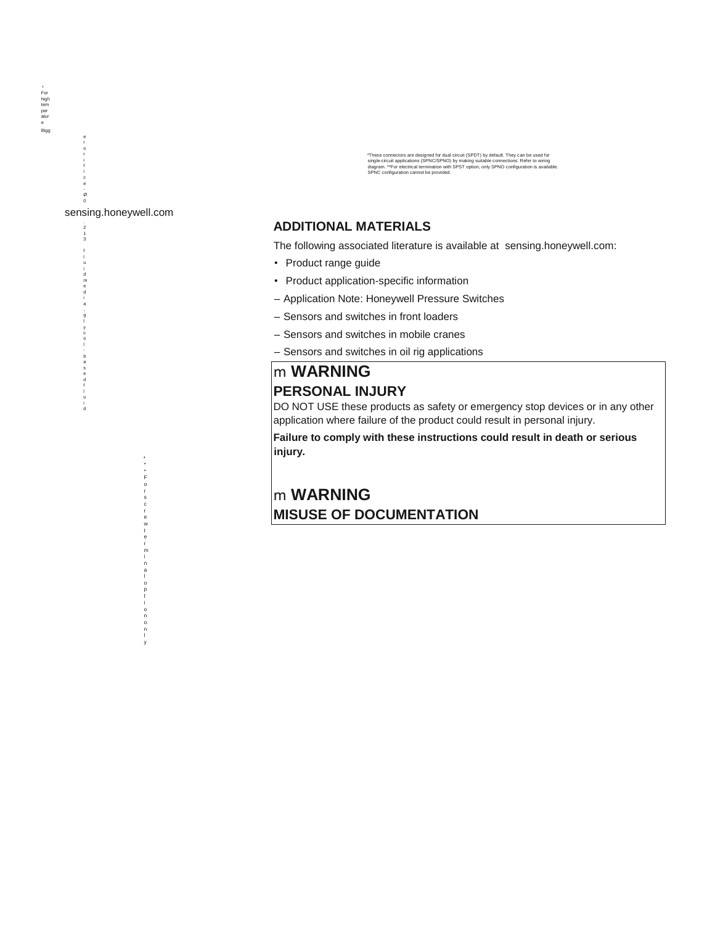\*These connectors are designed for dual circuit (SPDT) by default. They can be used for<br>single-circuit applications (SPNC/SPNO) by making suitable connections. Refer to wiring<br>diagram. \*\*For electrical termination with SP

### **ADDITIONAL MATERIALS**

The following associated literature is available at [sensing.honeywell.com:](http://sensing.honeywell.com/)

- Product range guide
- Product application-specific information
- Application Note: Honeywell Pressure Switches
- Sensors and switches in front loaders
- Sensors and switches in mobile cranes
- Sensors and switches in oil rig applications

### m **WARNING PERSONAL INJURY**

DO NOT USE these products as safety or emergency stop devices or in any other application where failure of the product could result in personal injury.

**Failure to comply with these instructions could result in death or serious injury.**

### m **WARNING MISUSE OF DOCUMENTATION**

e r o r i f i c e - Ø

> 2 1 3 f u i d m e d i a , g l y c o - b a s e d f l u i d

sensing.honeywell.com

\* \* \* F o r s c r e w t e r m i n a l o p t i o n o n l y